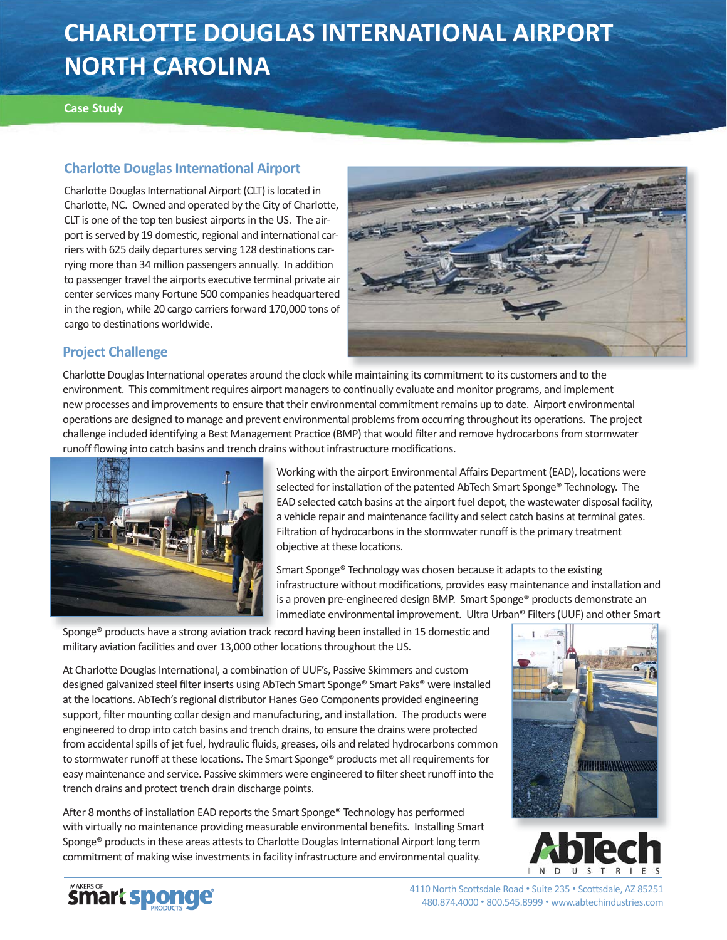# **CHARLOTTE DOUGLAS INTERNATIONAL AIRPORT NORTH CAROLINA**

#### **Case Study**

## **Charlott e Douglas Internati onal Airport**

Charlotte Douglas International Airport (CLT) is located in Charlotte, NC. Owned and operated by the City of Charlotte, CLT is one of the top ten busiest airports in the US. The airport is served by 19 domestic, regional and international carriers with 625 daily departures serving 128 destinations carrying more than 34 million passengers annually. In addition to passenger travel the airports executive terminal private air center services many Fortune 500 companies headquartered in the region, while 20 cargo carriers forward 170,000 tons of cargo to destinations worldwide.



#### **Project Challenge**

Charlotte Douglas International operates around the clock while maintaining its commitment to its customers and to the environment. This commitment requires airport managers to continually evaluate and monitor programs, and implement new processes and improvements to ensure that their environmental commitment remains up to date. Airport environmental operations are designed to manage and prevent environmental problems from occurring throughout its operations. The project challenge included identifying a Best Management Practice (BMP) that would filter and remove hydrocarbons from stormwater runoff flowing into catch basins and trench drains without infrastructure modifications.



Working with the airport Environmental Affairs Department (EAD), locations were selected for installation of the patented AbTech Smart Sponge® Technology. The EAD selected catch basins at the airport fuel depot, the wastewater disposal facility, a vehicle repair and maintenance facility and select catch basins at terminal gates. Filtration of hydrocarbons in the stormwater runoff is the primary treatment objective at these locations.

Smart Sponge® Technology was chosen because it adapts to the existing infrastructure without modifications, provides easy maintenance and installation and is a proven pre-engineered design BMP. Smart Sponge® products demonstrate an immediate environmental improvement. Ultra Urban® Filters (UUF) and other Smart

Sponge® products have a strong aviation track record having been installed in 15 domestic and military aviation facilities and over 13,000 other locations throughout the US.

At Charlotte Douglas International, a combination of UUF's, Passive Skimmers and custom designed galvanized steel filter inserts using AbTech Smart Sponge® Smart Paks® were installed at the locations. AbTech's regional distributor Hanes Geo Components provided engineering support, filter mounting collar design and manufacturing, and installation. The products were engineered to drop into catch basins and trench drains, to ensure the drains were protected from accidental spills of jet fuel, hydraulic fluids, greases, oils and related hydrocarbons common to stormwater runoff at these locations. The Smart Sponge® products met all requirements for easy maintenance and service. Passive skimmers were engineered to filter sheet runoff into the trench drains and protect trench drain discharge points.

After 8 months of installation EAD reports the Smart Sponge® Technology has performed with virtually no maintenance providing measurable environmental benefits. Installing Smart Sponge® products in these areas attests to Charlotte Douglas International Airport long term commitment of making wise investments in facility infrastructure and environmental quality.







4110 North Scottsdale Road · Suite 235 · Scottsdale, AZ 85251 480.874.4000 • 800.545.8999 • www.abtechindustries.com